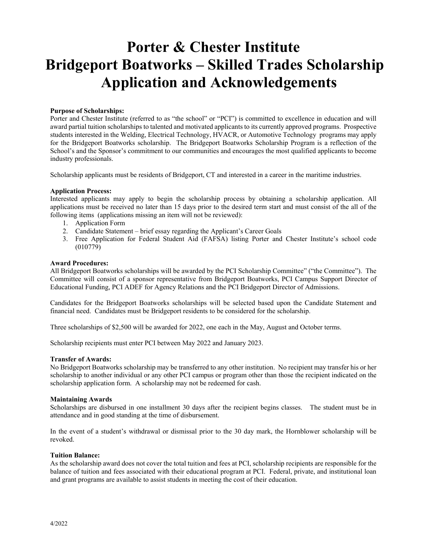## **Porter & Chester Institute Bridgeport Boatworks – Skilled Trades Scholarship Application and Acknowledgements**

## **Purpose of Scholarships:**

Porter and Chester Institute (referred to as "the school" or "PCI") is committed to excellence in education and will award partial tuition scholarships to talented and motivated applicants to its currently approved programs. Prospective students interested in the Welding, Electrical Technology, HVACR, or Automotive Technology programs may apply for the Bridgeport Boatworks scholarship. The Bridgeport Boatworks Scholarship Program is a reflection of the School's and the Sponsor's commitment to our communities and encourages the most qualified applicants to become industry professionals.

Scholarship applicants must be residents of Bridgeport, CT and interested in a career in the maritime industries.

#### **Application Process:**

Interested applicants may apply to begin the scholarship process by obtaining a scholarship application. All applications must be received no later than 15 days prior to the desired term start and must consist of the all of the following items (applications missing an item will not be reviewed):

- 1. Application Form
- 2. Candidate Statement brief essay regarding the Applicant's Career Goals
- 3. Free Application for Federal Student Aid (FAFSA) listing Porter and Chester Institute's school code (010779)

#### **Award Procedures:**

All Bridgeport Boatworks scholarships will be awarded by the PCI Scholarship Committee" ("the Committee"). The Committee will consist of a sponsor representative from Bridgeport Boatworks, PCI Campus Support Director of Educational Funding, PCI ADEF for Agency Relations and the PCI Bridgeport Director of Admissions.

Candidates for the Bridgeport Boatworks scholarships will be selected based upon the Candidate Statement and financial need. Candidates must be Bridgeport residents to be considered for the scholarship.

Three scholarships of \$2,500 will be awarded for 2022, one each in the May, August and October terms.

Scholarship recipients must enter PCI between May 2022 and January 2023.

#### **Transfer of Awards:**

No Bridgeport Boatworks scholarship may be transferred to any other institution. No recipient may transfer his or her scholarship to another individual or any other PCI campus or program other than those the recipient indicated on the scholarship application form. A scholarship may not be redeemed for cash.

#### **Maintaining Awards**

Scholarships are disbursed in one installment 30 days after the recipient begins classes. The student must be in attendance and in good standing at the time of disbursement.

In the event of a student's withdrawal or dismissal prior to the 30 day mark, the Hornblower scholarship will be revoked.

## **Tuition Balance:**

As the scholarship award does not cover the total tuition and fees at PCI, scholarship recipients are responsible for the balance of tuition and fees associated with their educational program at PCI. Federal, private, and institutional loan and grant programs are available to assist students in meeting the cost of their education.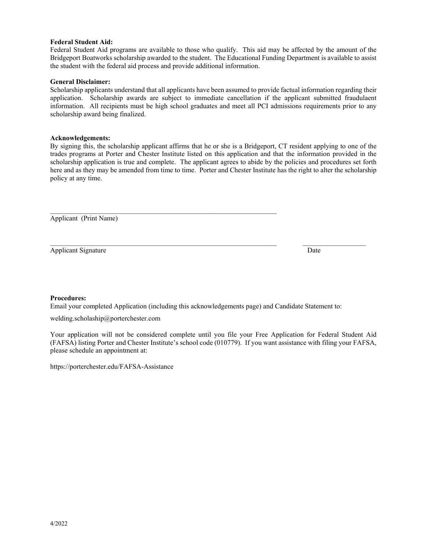## **Federal Student Aid:**

Federal Student Aid programs are available to those who qualify. This aid may be affected by the amount of the Bridgeport Boatworks scholarship awarded to the student. The Educational Funding Department is available to assist the student with the federal aid process and provide additional information.

## **General Disclaimer:**

Scholarship applicants understand that all applicants have been assumed to provide factual information regarding their application. Scholarship awards are subject to immediate cancellation if the applicant submitted fraudulaent information. All recipients must be high school graduates and meet all PCI admissions requirements prior to any scholarship award being finalized.

## **Acknowledgements:**

By signing this, the scholarship applicant affirms that he or she is a Bridgeport, CT resident applying to one of the trades programs at Porter and Chester Institute listed on this application and that the information provided in the scholarship application is true and complete. The applicant agrees to abide by the policies and procedures set forth here and as they may be amended from time to time. Porter and Chester Institute has the right to alter the scholarship policy at any time.

Applicant (Print Name)

Applicant Signature Date News, 2008. The Second School and School and School and School and School and School and School and School and School and School and School and School and School and School and School and School an

## **Procedures:**

Email your completed Application (including this acknowledgements page) and Candidate Statement to:

 $\mathcal{L}_\text{max} = \mathcal{L}_\text{max} = \mathcal{L}_\text{max} = \mathcal{L}_\text{max} = \mathcal{L}_\text{max} = \mathcal{L}_\text{max} = \mathcal{L}_\text{max} = \mathcal{L}_\text{max} = \mathcal{L}_\text{max} = \mathcal{L}_\text{max} = \mathcal{L}_\text{max} = \mathcal{L}_\text{max} = \mathcal{L}_\text{max} = \mathcal{L}_\text{max} = \mathcal{L}_\text{max} = \mathcal{L}_\text{max} = \mathcal{L}_\text{max} = \mathcal{L}_\text{max} = \mathcal{$ 

welding.scholaship@porterchester.com

Your application will not be considered complete until you file your Free Application for Federal Student Aid (FAFSA) listing Porter and Chester Institute's school code (010779). If you want assistance with filing your FAFSA, please schedule an appointment at:

https://porterchester.edu/FAFSA-Assistance